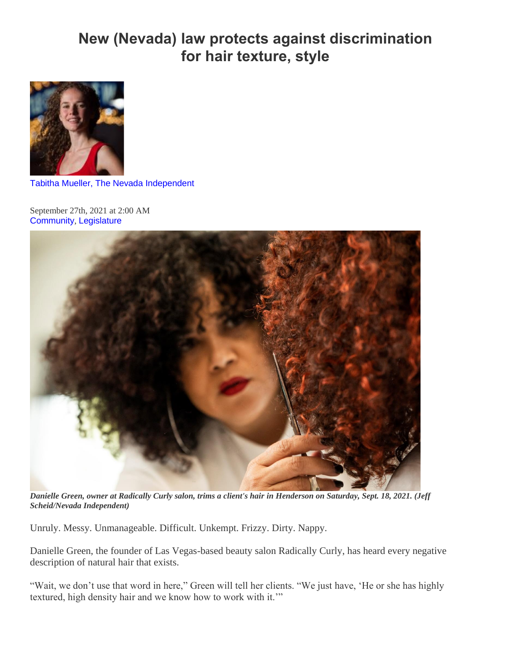## **New (Nevada) law protects against discrimination for hair texture, style**



[Tabitha Mueller, The Nevada Independent](https://thenevadaindependent.com/author/tabitha-mueller)

September 27th, 2021 at 2:00 AM [Community](https://thenevadaindependent.com/articles/community), [Legislature](https://thenevadaindependent.com/articles/legislature)



*Danielle Green, owner at Radically Curly salon, trims a client's hair in Henderson on Saturday, Sept. 18, 2021. (Jeff Scheid/Nevada Independent)*

Unruly. Messy. Unmanageable. Difficult. Unkempt. Frizzy. Dirty. Nappy.

Danielle Green, the founder of Las Vegas-based beauty salon Radically Curly, has heard every negative description of natural hair that exists.

"Wait, we don't use that word in here," Green will tell her clients. "We just have, 'He or she has highly textured, high density hair and we know how to work with it.'"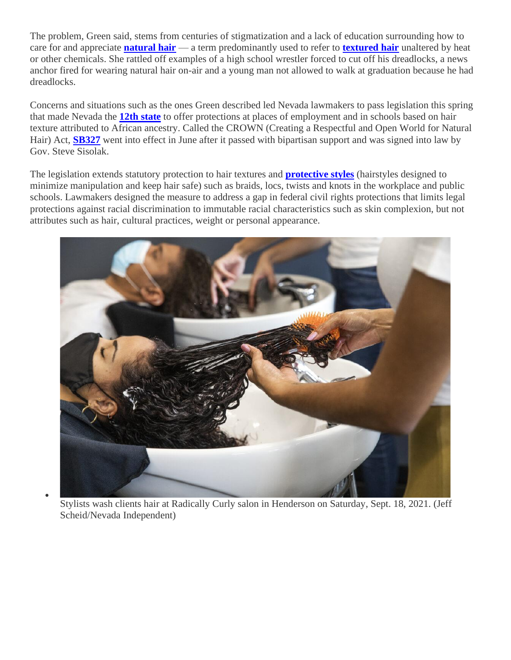The problem, Green said, stems from centuries of stigmatization and a lack of education surrounding how to care for and appreciate **[natural hair](https://www.thecut.com/2020/04/now-is-the-time-to-get-to-know-your-natural-hair.html)** — a term predominantly used to refer to **[textured hair](https://www.byrdie.com/decolonizing-afro-textured-hair-5081936)** unaltered by heat or other chemicals. She rattled off examples of a high school wrestler forced to cut off his dreadlocks, a news anchor fired for wearing natural hair on-air and a young man not allowed to walk at graduation because he had dreadlocks.

Concerns and situations such as the ones Green described led Nevada lawmakers to pass legislation this spring that made Nevada the **[12th state](https://www.thecrownact.com/nevada)** to offer protections at places of employment and in schools based on hair texture attributed to African ancestry. Called the CROWN (Creating a Respectful and Open World for Natural Hair) Act, **[SB327](https://www.leg.state.nv.us/App/NELIS/REL/81st2021/Bill/7961/Text)** went into effect in June after it passed with bipartisan support and was signed into law by Gov. Steve Sisolak.

The legislation extends statutory protection to hair textures and **[protective styles](https://afrocenchix.com/blogs/afrohair/protective-styling-what-every-natural-needs-to-know)** (hairstyles designed to minimize manipulation and keep hair safe) such as braids, locs, twists and knots in the workplace and public schools. Lawmakers designed the measure to address a gap in federal civil rights protections that limits legal protections against racial discrimination to immutable racial characteristics such as skin complexion, but not attributes such as hair, cultural practices, weight or personal appearance.



Stylists wash clients hair at Radically Curly salon in Henderson on Saturday, Sept. 18, 2021. (Jeff Scheid/Nevada Independent)

•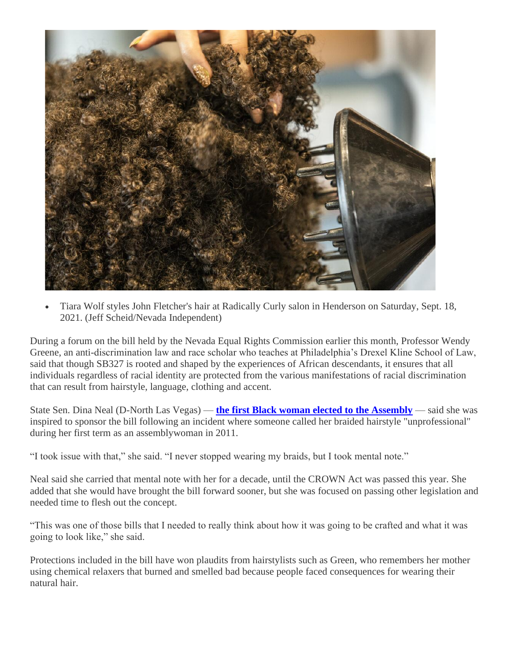

• Tiara Wolf styles John Fletcher's hair at Radically Curly salon in Henderson on Saturday, Sept. 18, 2021. (Jeff Scheid/Nevada Independent)

During a forum on the bill held by the Nevada Equal Rights Commission earlier this month, Professor Wendy Greene, an anti-discrimination law and race scholar who teaches at Philadelphia's Drexel Kline School of Law, said that though SB327 is rooted and shaped by the experiences of African descendants, it ensures that all individuals regardless of racial identity are protected from the various manifestations of racial discrimination that can result from hairstyle, language, clothing and accent.

State Sen. Dina Neal (D-North Las Vegas) — **[the first Black woman elected to the Assembly](https://www.reviewjournal.com/news/politics-and-government/nevada/father-gave-new-legislator-dina-neal-an-early-start/)** — said she was inspired to sponsor the bill following an incident where someone called her braided hairstyle "unprofessional" during her first term as an assemblywoman in 2011.

"I took issue with that," she said. "I never stopped wearing my braids, but I took mental note."

Neal said she carried that mental note with her for a decade, until the CROWN Act was passed this year. She added that she would have brought the bill forward sooner, but she was focused on passing other legislation and needed time to flesh out the concept.

"This was one of those bills that I needed to really think about how it was going to be crafted and what it was going to look like," she said.

Protections included in the bill have won plaudits from hairstylists such as Green, who remembers her mother using chemical relaxers that burned and smelled bad because people faced consequences for wearing their natural hair.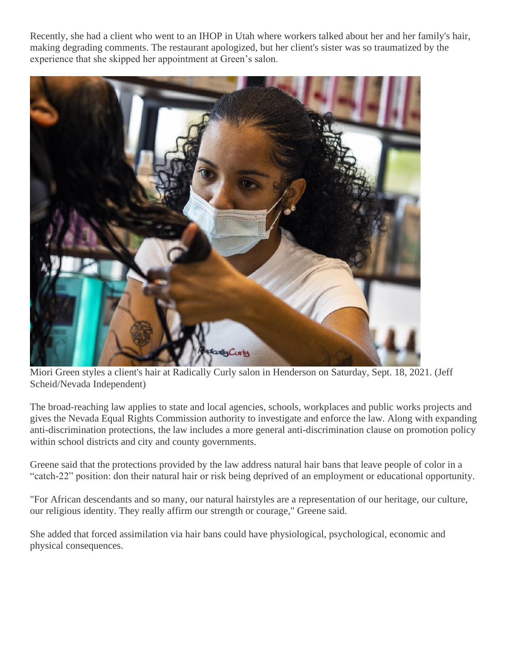Recently, she had a client who went to an IHOP in Utah where workers talked about her and her family's hair, making degrading comments. The restaurant apologized, but her client's sister was so traumatized by the experience that she skipped her appointment at Green's salon.



Miori Green styles a client's hair at Radically Curly salon in Henderson on Saturday, Sept. 18, 2021. (Jeff Scheid/Nevada Independent)

The broad-reaching law applies to state and local agencies, schools, workplaces and public works projects and gives the Nevada Equal Rights Commission authority to investigate and enforce the law. Along with expanding anti-discrimination protections, the law includes a more general anti-discrimination clause on promotion policy within school districts and city and county governments.

Greene said that the protections provided by the law address natural hair bans that leave people of color in a "catch-22" position: don their natural hair or risk being deprived of an employment or educational opportunity.

"For African descendants and so many, our natural hairstyles are a representation of our heritage, our culture, our religious identity. They really affirm our strength or courage," Greene said.

She added that forced assimilation via hair bans could have physiological, psychological, economic and physical consequences.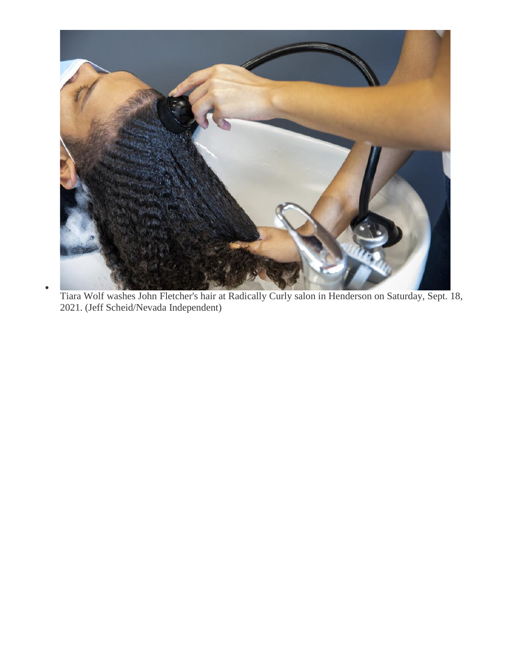

Tiara Wolf washes John Fletcher's hair at Radically Curly salon in Henderson on Saturday, Sept. 18, 2021. (Jeff Scheid/Nevada Independent)

•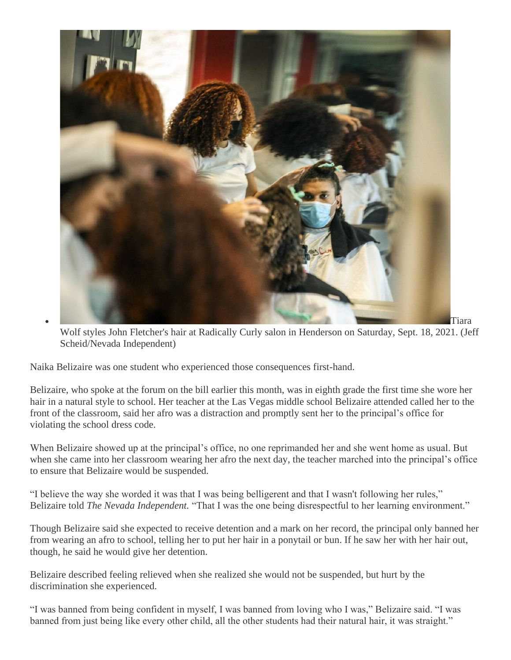

Wolf styles John Fletcher's hair at Radically Curly salon in Henderson on Saturday, Sept. 18, 2021. (Jeff Scheid/Nevada Independent)

Naika Belizaire was one student who experienced those consequences first-hand.

Belizaire, who spoke at the forum on the bill earlier this month, was in eighth grade the first time she wore her hair in a natural style to school. Her teacher at the Las Vegas middle school Belizaire attended called her to the front of the classroom, said her afro was a distraction and promptly sent her to the principal's office for violating the school dress code.

When Belizaire showed up at the principal's office, no one reprimanded her and she went home as usual. But when she came into her classroom wearing her afro the next day, the teacher marched into the principal's office to ensure that Belizaire would be suspended.

"I believe the way she worded it was that I was being belligerent and that I wasn't following her rules," Belizaire told *The Nevada Independent*. "That I was the one being disrespectful to her learning environment."

Though Belizaire said she expected to receive detention and a mark on her record, the principal only banned her from wearing an afro to school, telling her to put her hair in a ponytail or bun. If he saw her with her hair out, though, he said he would give her detention.

Belizaire described feeling relieved when she realized she would not be suspended, but hurt by the discrimination she experienced.

"I was banned from being confident in myself, I was banned from loving who I was," Belizaire said. "I was banned from just being like every other child, all the other students had their natural hair, it was straight."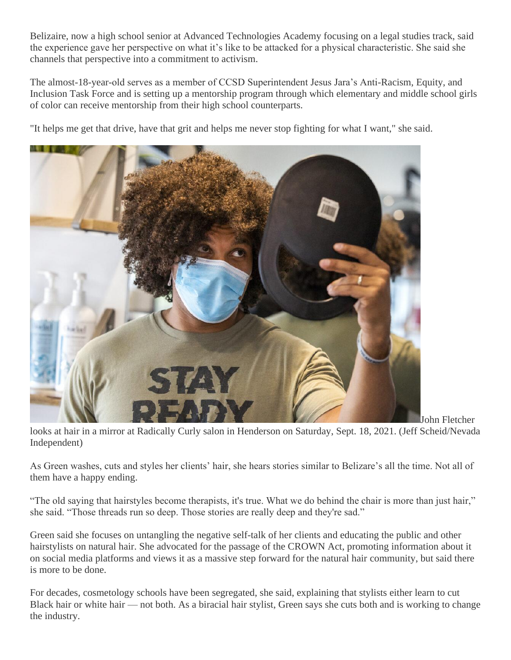Belizaire, now a high school senior at Advanced Technologies Academy focusing on a legal studies track, said the experience gave her perspective on what it's like to be attacked for a physical characteristic. She said she channels that perspective into a commitment to activism.

The almost-18-year-old serves as a member of CCSD Superintendent Jesus Jara's Anti-Racism, Equity, and Inclusion Task Force and is setting up a mentorship program through which elementary and middle school girls of color can receive mentorship from their high school counterparts.

"It helps me get that drive, have that grit and helps me never stop fighting for what I want," she said.



John Fletcher

looks at hair in a mirror at Radically Curly salon in Henderson on Saturday, Sept. 18, 2021. (Jeff Scheid/Nevada Independent)

As Green washes, cuts and styles her clients' hair, she hears stories similar to Belizare's all the time. Not all of them have a happy ending.

"The old saying that hairstyles become therapists, it's true. What we do behind the chair is more than just hair," she said. "Those threads run so deep. Those stories are really deep and they're sad."

Green said she focuses on untangling the negative self-talk of her clients and educating the public and other hairstylists on natural hair. She advocated for the passage of the CROWN Act, promoting information about it on social media platforms and views it as a massive step forward for the natural hair community, but said there is more to be done.

For decades, cosmetology schools have been segregated, she said, explaining that stylists either learn to cut Black hair or white hair — not both. As a biracial hair stylist, Green says she cuts both and is working to change the industry.